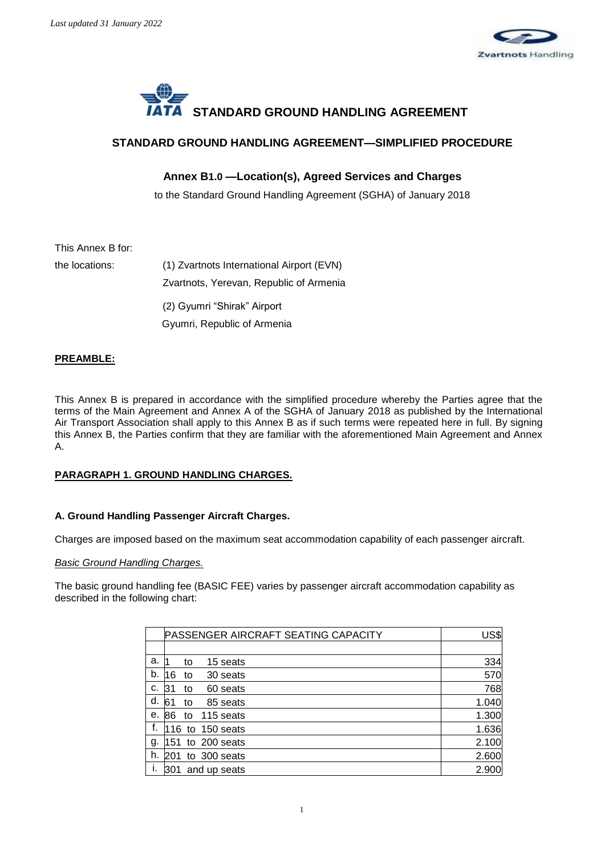



## **STANDARD GROUND HANDLING AGREEMENT—SIMPLIFIED PROCEDURE**

## **Annex B1.0 —Location(s), Agreed Services and Charges**

to the Standard Ground Handling Agreement (SGHA) of January 2018

# This Annex B for:

the locations: (1) Zvartnots International Airport (EVN) Zvartnots, Yerevan, Republic of Armenia (2) Gyumri "Shirak" Airport Gyumri, Republic of Armenia

## **PREAMBLE:**

This Annex B is prepared in accordance with the simplified procedure whereby the Parties agree that the terms of the Main Agreement and Annex A of the SGHA of January 2018 as published by the International Air Transport Association shall apply to this Annex B as if such terms were repeated here in full. By signing this Annex B, the Parties confirm that they are familiar with the aforementioned Main Agreement and Annex A.

## **PARAGRAPH 1. GROUND HANDLING CHARGES.**

## **A. Ground Handling Passenger Aircraft Charges.**

Charges are imposed based on the maximum seat accommodation capability of each passenger aircraft.

## *Basic Ground Handling Charges.*

The basic ground handling fee (BASIC FEE) varies by passenger aircraft accommodation capability as described in the following chart:

|    | PASSENGER AIRCRAFT SEATING CAPACITY | US\$  |
|----|-------------------------------------|-------|
|    |                                     |       |
| a. | 15 seats<br>to                      | 334   |
| b. | 16<br>30 seats<br>to                | 570   |
| c. | 60 seats<br>31<br>to                | 768   |
| d. | 85 seats<br>61<br>to                | 1.040 |
| е. | 115 seats<br>86<br>to               | 1.300 |
| f. | to 150 seats<br>16                  | 1.636 |
| g. | to 200 seats<br>151                 | 2.100 |
| h. | to 300 seats<br>201                 | 2.600 |
|    | and up seats<br>l301                | 2.900 |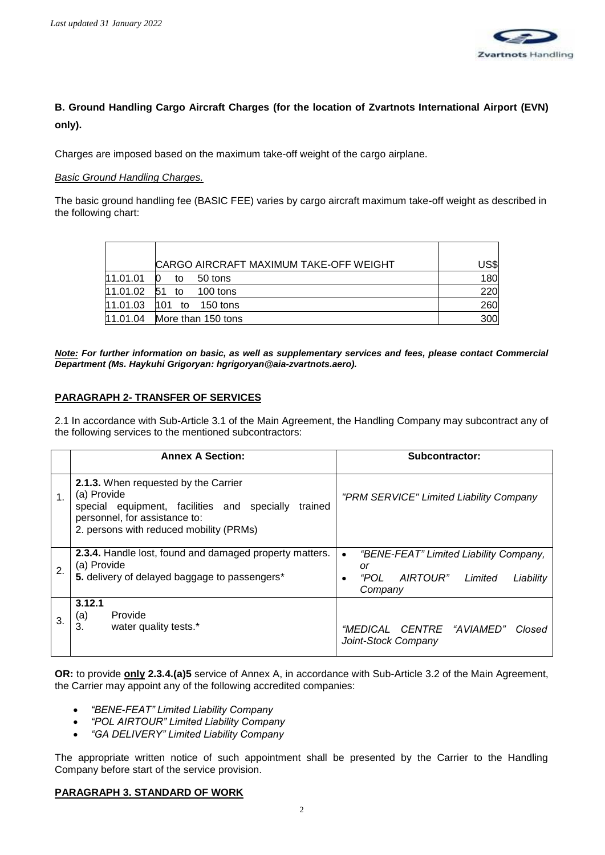

# **B. Ground Handling Cargo Aircraft Charges (for the location of Zvartnots International Airport (EVN) only).**

Charges are imposed based on the maximum take-off weight of the cargo airplane.

### *Basic Ground Handling Charges.*

The basic ground handling fee (BASIC FEE) varies by cargo aircraft maximum take-off weight as described in the following chart:

|          | CARGO AIRCRAFT MAXIMUM TAKE-OFF WEIGHT | US\$ |
|----------|----------------------------------------|------|
| 11.01.01 | 50 tons<br>tο                          | 180  |
| 11.01.02 | 51<br>$100$ tons<br>to                 | 220  |
| 11.01.03 | 101<br>150 tons<br>to                  | 260  |
| 11.01.04 | More than 150 tons                     | 300  |

*Note: For further information on basic, as well as supplementary services and fees, please contact Commercial Department (Ms. Haykuhi Grigoryan: hgrigoryan@aia-zvartnots.aero).*

## **PARAGRAPH 2- TRANSFER OF SERVICES**

2.1 In accordance with Sub-Article 3.1 of the Main Agreement, the Handling Company may subcontract any of the following services to the mentioned subcontractors:

|               | <b>Annex A Section:</b>                                                                                                                                                                   | Subcontractor:                                                                                                        |
|---------------|-------------------------------------------------------------------------------------------------------------------------------------------------------------------------------------------|-----------------------------------------------------------------------------------------------------------------------|
| $\mathbf 1$ . | 2.1.3. When requested by the Carrier<br>(a) Provide<br>special equipment, facilities and specially<br>trained<br>personnel, for assistance to:<br>2. persons with reduced mobility (PRMs) | "PRM SERVICE" Limited Liability Company                                                                               |
| 2.            | 2.3.4. Handle lost, found and damaged property matters.<br>(a) Provide<br>5. delivery of delayed baggage to passengers*                                                                   | "BENE-FEAT" Limited Liability Company,<br>$\bullet$<br>or<br>"POL<br>AIRTOUR"<br>Liability<br>Limited<br>٠<br>Company |
| 3.            | 3.12.1<br>Provide<br>(a)<br>3.<br>water quality tests.*                                                                                                                                   | "MEDICAL CENTRE "AVIAMED"<br>Closed<br>Joint-Stock Company                                                            |

**OR:** to provide **only 2.3.4.(a)5** service of Annex A, in accordance with Sub-Article 3.2 of the Main Agreement, the Carrier may appoint any of the following accredited companies:

- *"BENE-FEAT" Limited Liability Company*
- *"POL AIRTOUR" Limited Liability Company*
- *"GA DELIVERY" Limited Liability Company*

The appropriate written notice of such appointment shall be presented by the Carrier to the Handling Company before start of the service provision.

#### **PARAGRAPH 3. STANDARD OF WORK**